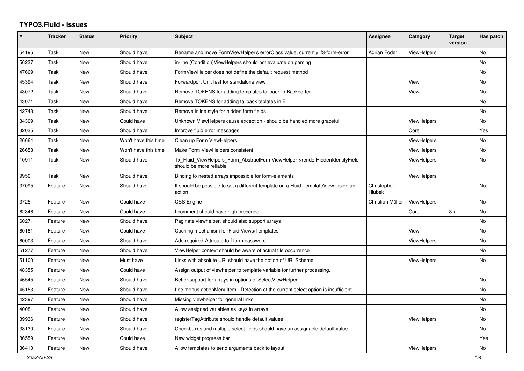## **TYPO3.Fluid - Issues**

| #     | Tracker | <b>Status</b> | <b>Priority</b>      | <b>Subject</b>                                                                                         | <b>Assignee</b>       | Category           | <b>Target</b><br>version | Has patch |
|-------|---------|---------------|----------------------|--------------------------------------------------------------------------------------------------------|-----------------------|--------------------|--------------------------|-----------|
| 54195 | Task    | New           | Should have          | Rename and move FormViewHelper's errorClass value, currently 'f3-form-error'                           | Adrian Föder          | ViewHelpers        |                          | <b>No</b> |
| 56237 | Task    | New           | Should have          | in-line (Condition) View Helpers should not evaluate on parsing                                        |                       |                    |                          | <b>No</b> |
| 47669 | Task    | New           | Should have          | FormViewHelper does not define the default request method                                              |                       |                    |                          | No        |
| 45394 | Task    | New           | Should have          | Forwardport Unit test for standalone view                                                              |                       | View               |                          | No        |
| 43072 | Task    | New           | Should have          | Remove TOKENS for adding templates fallback in Backporter                                              |                       | View               |                          | No        |
| 43071 | Task    | New           | Should have          | Remove TOKENS for adding fallback teplates in B                                                        |                       |                    |                          | No        |
| 42743 | Task    | <b>New</b>    | Should have          | Remove inline style for hidden form fields                                                             |                       |                    |                          | No        |
| 34309 | Task    | <b>New</b>    | Could have           | Unknown ViewHelpers cause exception - should be handled more graceful                                  |                       | <b>ViewHelpers</b> |                          | <b>No</b> |
| 32035 | Task    | New           | Should have          | Improve fluid error messages                                                                           |                       | Core               |                          | Yes       |
| 26664 | Task    | New           | Won't have this time | Clean up Form ViewHelpers                                                                              |                       | <b>ViewHelpers</b> |                          | No.       |
| 26658 | Task    | New           | Won't have this time | Make Form ViewHelpers consistent                                                                       |                       | ViewHelpers        |                          | <b>No</b> |
| 10911 | Task    | New           | Should have          | Tx_Fluid_ViewHelpers_Form_AbstractFormViewHelper->renderHiddenIdentityField<br>should be more reliable |                       | <b>ViewHelpers</b> |                          | No        |
| 9950  | Task    | <b>New</b>    | Should have          | Binding to nested arrays impossible for form-elements                                                  |                       | ViewHelpers        |                          |           |
| 37095 | Feature | New           | Should have          | It should be possible to set a different template on a Fluid TemplateView inside an<br>action          | Christopher<br>Hlubek |                    |                          | No        |
| 3725  | Feature | New           | Could have           | <b>CSS Engine</b>                                                                                      | Christian Müller      | ViewHelpers        |                          | No        |
| 62346 | Feature | New           | Could have           | f:comment should have high precende                                                                    |                       | Core               | 3.x                      | No        |
| 60271 | Feature | New           | Should have          | Paginate viewhelper, should also support arrays                                                        |                       |                    |                          | No        |
| 60181 | Feature | New           | Could have           | Caching mechanism for Fluid Views/Templates                                                            |                       | View               |                          | No        |
| 60003 | Feature | New           | Should have          | Add required-Attribute to f:form.password                                                              |                       | <b>ViewHelpers</b> |                          | <b>No</b> |
| 51277 | Feature | <b>New</b>    | Should have          | ViewHelper context should be aware of actual file occurrence                                           |                       |                    |                          | No        |
| 51100 | Feature | <b>New</b>    | Must have            | Links with absolute URI should have the option of URI Scheme                                           |                       | <b>ViewHelpers</b> |                          | <b>No</b> |
| 48355 | Feature | New           | Could have           | Assign output of viewhelper to template variable for further processing.                               |                       |                    |                          |           |
| 46545 | Feature | <b>New</b>    | Should have          | Better support for arrays in options of SelectViewHelper                                               |                       |                    |                          | No        |
| 45153 | Feature | New           | Should have          | f:be.menus.actionMenuItem - Detection of the current select option is insufficient                     |                       |                    |                          | No        |
| 42397 | Feature | New           | Should have          | Missing viewhelper for general links                                                                   |                       |                    |                          | No        |
| 40081 | Feature | New           | Should have          | Allow assigned variables as keys in arrays                                                             |                       |                    |                          | No        |
| 39936 | Feature | New           | Should have          | registerTagAttribute should handle default values                                                      |                       | ViewHelpers        |                          | No        |
| 38130 | Feature | <b>New</b>    | Should have          | Checkboxes and multiple select fields should have an assignable default value                          |                       |                    |                          | No        |
| 36559 | Feature | <b>New</b>    | Could have           | New widget progress bar                                                                                |                       |                    |                          | Yes       |
| 36410 | Feature | New           | Should have          | Allow templates to send arguments back to layout                                                       |                       | ViewHelpers        |                          | No        |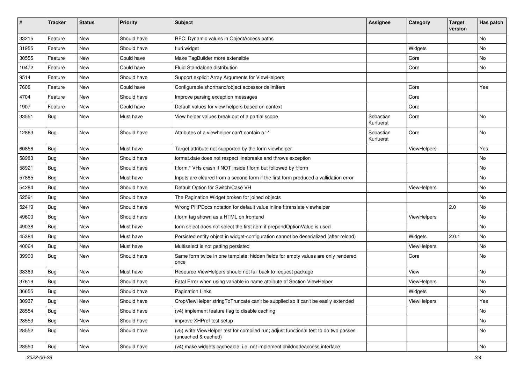| #     | <b>Tracker</b> | <b>Status</b> | <b>Priority</b> | Subject                                                                                                     | <b>Assignee</b>        | Category    | <b>Target</b><br>version | Has patch |
|-------|----------------|---------------|-----------------|-------------------------------------------------------------------------------------------------------------|------------------------|-------------|--------------------------|-----------|
| 33215 | Feature        | New           | Should have     | RFC: Dynamic values in ObjectAccess paths                                                                   |                        |             |                          | No        |
| 31955 | Feature        | New           | Should have     | f:uri.widget                                                                                                |                        | Widgets     |                          | No        |
| 30555 | Feature        | New           | Could have      | Make TagBuilder more extensible                                                                             |                        | Core        |                          | No        |
| 10472 | Feature        | New           | Could have      | Fluid Standalone distribution                                                                               |                        | Core        |                          | No        |
| 9514  | Feature        | New           | Should have     | Support explicit Array Arguments for ViewHelpers                                                            |                        |             |                          |           |
| 7608  | Feature        | New           | Could have      | Configurable shorthand/object accessor delimiters                                                           |                        | Core        |                          | Yes       |
| 4704  | Feature        | New           | Should have     | Improve parsing exception messages                                                                          |                        | Core        |                          |           |
| 1907  | Feature        | New           | Could have      | Default values for view helpers based on context                                                            |                        | Core        |                          |           |
| 33551 | Bug            | New           | Must have       | View helper values break out of a partial scope                                                             | Sebastian<br>Kurfuerst | Core        |                          | No        |
| 12863 | Bug            | New           | Should have     | Attributes of a viewhelper can't contain a '-'                                                              | Sebastian<br>Kurfuerst | Core        |                          | No        |
| 60856 | Bug            | New           | Must have       | Target attribute not supported by the form viewhelper                                                       |                        | ViewHelpers |                          | Yes       |
| 58983 | Bug            | <b>New</b>    | Should have     | format.date does not respect linebreaks and throws exception                                                |                        |             |                          | No.       |
| 58921 | Bug            | New           | Should have     | f:form.* VHs crash if NOT inside f:form but followed by f:form                                              |                        |             |                          | No        |
| 57885 | Bug            | New           | Must have       | Inputs are cleared from a second form if the first form produced a vallidation error                        |                        |             |                          | No        |
| 54284 | Bug            | New           | Should have     | Default Option for Switch/Case VH                                                                           |                        | ViewHelpers |                          | No        |
| 52591 | Bug            | New           | Should have     | The Pagination Widget broken for joined objects                                                             |                        |             |                          | No        |
| 52419 | Bug            | New           | Should have     | Wrong PHPDocs notation for default value inline f:translate viewhelper                                      |                        |             | 2.0                      | No        |
| 49600 | Bug            | New           | Should have     | f:form tag shown as a HTML on frontend                                                                      |                        | ViewHelpers |                          | No        |
| 49038 | Bug            | New           | Must have       | form.select does not select the first item if prependOptionValue is used                                    |                        |             |                          | No        |
| 45384 | Bug            | New           | Must have       | Persisted entity object in widget-configuration cannot be deserialized (after reload)                       |                        | Widgets     | 2.0.1                    | No        |
| 40064 | Bug            | New           | Must have       | Multiselect is not getting persisted                                                                        |                        | ViewHelpers |                          | No        |
| 39990 | Bug            | New           | Should have     | Same form twice in one template: hidden fields for empty values are only rendered<br>once                   |                        | Core        |                          | No        |
| 38369 | Bug            | New           | Must have       | Resource ViewHelpers should not fall back to request package                                                |                        | View        |                          | No        |
| 37619 | Bug            | New           | Should have     | Fatal Error when using variable in name attribute of Section ViewHelper                                     |                        | ViewHelpers |                          | No        |
| 36655 | <b>Bug</b>     | New           | Should have     | <b>Pagination Links</b>                                                                                     |                        | Widgets     |                          | No        |
| 30937 | <b>Bug</b>     | New           | Should have     | CropViewHelper stringToTruncate can't be supplied so it can't be easily extended                            |                        | ViewHelpers |                          | Yes       |
| 28554 | Bug            | New           | Should have     | (v4) implement feature flag to disable caching                                                              |                        |             |                          | No        |
| 28553 | <b>Bug</b>     | New           | Should have     | improve XHProf test setup                                                                                   |                        |             |                          | No        |
| 28552 | <b>Bug</b>     | New           | Should have     | (v5) write ViewHelper test for compiled run; adjust functional test to do two passes<br>(uncached & cached) |                        |             |                          | No        |
| 28550 | <b>Bug</b>     | New           | Should have     | (v4) make widgets cacheable, i.e. not implement childnodeaccess interface                                   |                        |             |                          | No        |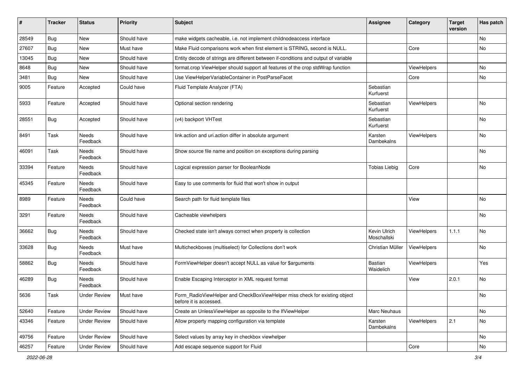| ∦     | <b>Tracker</b> | <b>Status</b>            | <b>Priority</b> | <b>Subject</b>                                                                                       | <b>Assignee</b>             | Category    | <b>Target</b><br>version | Has patch |
|-------|----------------|--------------------------|-----------------|------------------------------------------------------------------------------------------------------|-----------------------------|-------------|--------------------------|-----------|
| 28549 | Bug            | New                      | Should have     | make widgets cacheable, i.e. not implement childnodeaccess interface                                 |                             |             |                          | No        |
| 27607 | Bug            | New                      | Must have       | Make Fluid comparisons work when first element is STRING, second is NULL.                            |                             | Core        |                          | No        |
| 13045 | Bug            | New                      | Should have     | Entity decode of strings are different between if-conditions and output of variable                  |                             |             |                          |           |
| 8648  | Bug            | New                      | Should have     | format.crop ViewHelper should support all features of the crop stdWrap function                      |                             | ViewHelpers |                          | <b>No</b> |
| 3481  | Bug            | New                      | Should have     | Use ViewHelperVariableContainer in PostParseFacet                                                    |                             | Core        |                          | No        |
| 9005  | Feature        | Accepted                 | Could have      | Fluid Template Analyzer (FTA)                                                                        | Sebastian<br>Kurfuerst      |             |                          |           |
| 5933  | Feature        | Accepted                 | Should have     | Optional section rendering                                                                           | Sebastian<br>Kurfuerst      | ViewHelpers |                          | <b>No</b> |
| 28551 | Bug            | Accepted                 | Should have     | (v4) backport VHTest                                                                                 | Sebastian<br>Kurfuerst      |             |                          | No        |
| 8491  | Task           | <b>Needs</b><br>Feedback | Should have     | link.action and uri.action differ in absolute argument                                               | Karsten<br>Dambekalns       | ViewHelpers |                          | No        |
| 46091 | Task           | Needs<br>Feedback        | Should have     | Show source file name and position on exceptions during parsing                                      |                             |             |                          | No        |
| 33394 | Feature        | Needs<br>Feedback        | Should have     | Logical expression parser for BooleanNode                                                            | <b>Tobias Liebig</b>        | Core        |                          | No        |
| 45345 | Feature        | Needs<br>Feedback        | Should have     | Easy to use comments for fluid that won't show in output                                             |                             |             |                          |           |
| 8989  | Feature        | <b>Needs</b><br>Feedback | Could have      | Search path for fluid template files                                                                 |                             | View        |                          | <b>No</b> |
| 3291  | Feature        | Needs<br>Feedback        | Should have     | Cacheable viewhelpers                                                                                |                             |             |                          | <b>No</b> |
| 36662 | <b>Bug</b>     | Needs<br>Feedback        | Should have     | Checked state isn't always correct when property is collection                                       | Kevin Ulrich<br>Moschallski | ViewHelpers | 1.1.1                    | <b>No</b> |
| 33628 | <b>Bug</b>     | <b>Needs</b><br>Feedback | Must have       | Multicheckboxes (multiselect) for Collections don't work                                             | Christian Müller            | ViewHelpers |                          | No        |
| 58862 | Bug            | Needs<br>Feedback        | Should have     | FormViewHelper doesn't accept NULL as value for \$arguments                                          | <b>Bastian</b><br>Waidelich | ViewHelpers |                          | Yes       |
| 46289 | Bug            | Needs<br>Feedback        | Should have     | Enable Escaping Interceptor in XML request format                                                    |                             | View        | 2.0.1                    | No        |
| 5636  | Task           | <b>Under Review</b>      | Must have       | Form_RadioViewHelper and CheckBoxViewHelper miss check for existing object<br>before it is accessed. |                             |             |                          | No        |
| 52640 | Feature        | <b>Under Review</b>      | Should have     | Create an UnlessViewHelper as opposite to the IfViewHelper                                           | Marc Neuhaus                |             |                          | No        |
| 43346 | Feature        | <b>Under Review</b>      | Should have     | Allow property mapping configuration via template                                                    | Karsten<br>Dambekalns       | ViewHelpers | 2.1                      | No        |
| 49756 | Feature        | <b>Under Review</b>      | Should have     | Select values by array key in checkbox viewhelper                                                    |                             |             |                          | No        |
| 46257 | Feature        | <b>Under Review</b>      | Should have     | Add escape sequence support for Fluid                                                                |                             | Core        |                          | No        |